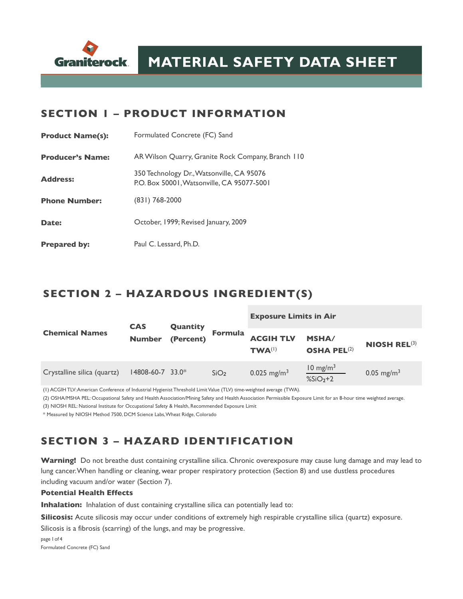

#### **SECTION 1 – PRODUCT INFORMATION**

| <b>Product Name(s):</b> | Formulated Concrete (FC) Sand                                                           |  |  |  |  |
|-------------------------|-----------------------------------------------------------------------------------------|--|--|--|--|
| <b>Producer's Name:</b> | AR Wilson Quarry, Granite Rock Company, Branch 110                                      |  |  |  |  |
| <b>Address:</b>         | 350 Technology Dr., Watsonville, CA 95076<br>P.O. Box 50001, Watsonville, CA 95077-5001 |  |  |  |  |
| <b>Phone Number:</b>    | $(831)$ 768-2000                                                                        |  |  |  |  |
| Date:                   | October, 1999; Revised January, 2009                                                    |  |  |  |  |
| <b>Prepared by:</b>     | Paul C. Lessard, Ph.D.                                                                  |  |  |  |  |

#### **SECTION 2 – HAZARDOUS INGREDIENT(S)**

|                             | <b>CAS</b>             | Quantity  | <b>Formula</b>   | <b>Exposure Limits in Air</b>          |                                               |                                  |
|-----------------------------|------------------------|-----------|------------------|----------------------------------------|-----------------------------------------------|----------------------------------|
| <b>Chemical Names</b>       | <b>Number</b>          | (Percent) |                  | <b>ACGIH TLV</b><br>TWA <sup>(1)</sup> | <b>MSHA/</b><br><b>OSHA PEL<sup>(2)</sup></b> | <b>NIOSH REL<math>(3)</math></b> |
| Crystalline silica (quartz) | $14808 - 60 - 7$ 33.0* |           | SiO <sub>2</sub> | $0.025$ mg/m <sup>3</sup>              | $10 \text{ mg/m}^3$<br>$%SiO2+2$              | $0.05$ mg/m <sup>3</sup>         |

(1) ACGIH TLV: American Conference of Industrial Hygienist Threshold Limit Value (TLV) time-weighted average (TWA).

(2) OSHA/MSHA PEL: Occupational Safety and Health Association/Mining Safety and Health Association Permissible Exposure Limit for an 8-hour time weighted average. (3) NIOSH REL: National Institute for Occupational Safety & Health, Recommended Exposure Limit

\* Measured by NIOSH Method 7500, DCM Science Labs, Wheat Ridge, Colorado

### **SECTION 3 – HAZARD IDENTIFICATION**

**Warning!** Do not breathe dust containing crystalline silica. Chronic overexposure may cause lung damage and may lead to lung cancer. When handling or cleaning, wear proper respiratory protection (Section 8) and use dustless procedures including vacuum and/or water (Section 7).

#### **Potential Health Effects**

**Inhalation:** Inhalation of dust containing crystalline silica can potentially lead to:

**Silicosis:** Acute silicosis may occur under conditions of extremely high respirable crystalline silica (quartz) exposure.

Silicosis is a fibrosis (scarring) of the lungs, and may be progressive.

page 1 of 4 Formulated Concrete (FC) Sand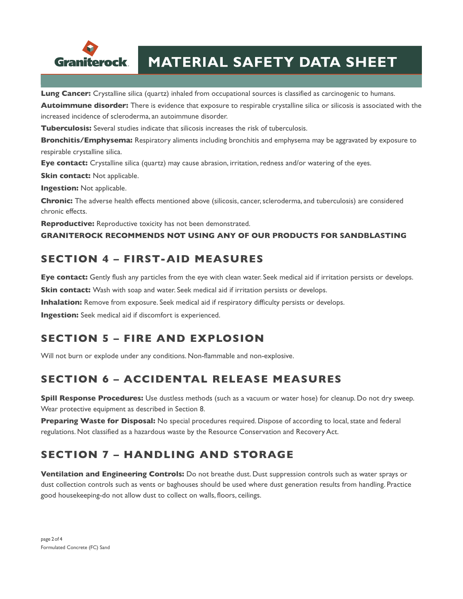

# **MATERIAL SAFETY DATA SHEET**

**Lung Cancer:** Crystalline silica (quartz) inhaled from occupational sources is classified as carcinogenic to humans.

**Autoimmune disorder:** There is evidence that exposure to respirable crystalline silica or silicosis is associated with the increased incidence of scleroderma, an autoimmune disorder.

**Tuberculosis:** Several studies indicate that silicosis increases the risk of tuberculosis.

**Bronchitis/Emphysema:** Respiratory aliments including bronchitis and emphysema may be aggravated by exposure to respirable crystalline silica.

**Eye contact:** Crystalline silica (quartz) may cause abrasion, irritation, redness and/or watering of the eyes.

**Skin contact:** Not applicable.

**Ingestion:** Not applicable.

**Chronic:** The adverse health effects mentioned above (silicosis, cancer, scleroderma, and tuberculosis) are considered chronic effects.

**Reproductive:** Reproductive toxicity has not been demonstrated.

**GRANITEROCK RECOMMENDS NOT USING ANY OF OUR PRODUCTS FOR SANDBLASTING**

### **SECTION 4 – FIRST-AID MEASURES**

**Eye contact:** Gently flush any particles from the eye with clean water. Seek medical aid if irritation persists or develops.

**Skin contact:** Wash with soap and water. Seek medical aid if irritation persists or develops.

**Inhalation:** Remove from exposure. Seek medical aid if respiratory difficulty persists or develops.

**Ingestion:** Seek medical aid if discomfort is experienced.

### **SECTION 5 – FIRE AND EXPLOSION**

Will not burn or explode under any conditions. Non-flammable and non-explosive.

### **SECTION 6 – ACCIDENTAL RELEASE MEASURES**

**Spill Response Procedures:** Use dustless methods (such as a vacuum or water hose) for cleanup. Do not dry sweep. Wear protective equipment as described in Section 8.

**Preparing Waste for Disposal:** No special procedures required. Dispose of according to local, state and federal regulations. Not classified as a hazardous waste by the Resource Conservation and Recovery Act.

## **SECTION 7 – HANDLING AND STORAGE**

**Ventilation and Engineering Controls:** Do not breathe dust. Dust suppression controls such as water sprays or dust collection controls such as vents or baghouses should be used where dust generation results from handling. Practice good housekeeping-do not allow dust to collect on walls, floors, ceilings.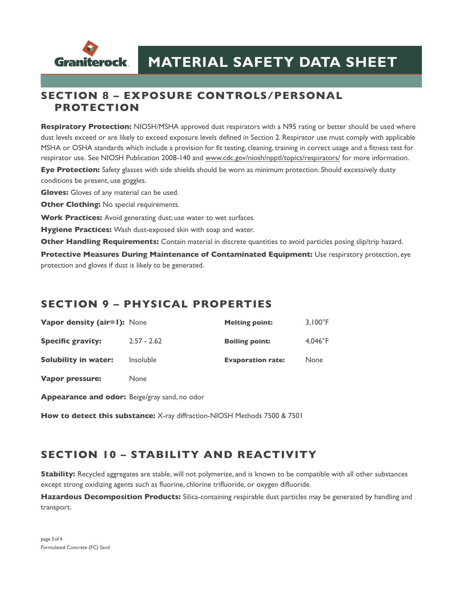

#### **SECTION 8 – EXPOSURE CONTROLS/PERSONAL PROTECTION**

**Respiratory Protection:** NIOSH/MSHA approved dust respirators with a N95 rating or better should be used where dust levels exceed or are likely to exceed exposure levels defined in Section 2. Respirator use must comply with applicable MSHA or OSHA standards which include a provision for fit testing, cleaning, training in correct usage and a fitness test for respirator use. See NIOSH Publication 2008-140 and [www.cdc.gov/niosh/npptl/topics/respirators/](http://www.cdc.gov/niosh/npptl/topics/respirators/) for more information.

**Eye Protection:** Safety glasses with side shields should be worn as minimum protection. Should excessively dusty conditions be present, use goggles.

**Gloves:** Gloves of any material can be used.

**Other Clothing:** No special requirements.

**Work Practices:** Avoid generating dust; use water to wet surfaces.

**Hygiene Practices:** Wash dust-exposed skin with soap and water.

**Other Handling Requirements:** Contain material in discrete quantities to avoid particles posing slip/trip hazard.

**Protective Measures During Maintenance of Contaminated Equipment:** Use respiratory protection, eye protection and gloves if dust is likely to be generated.

#### **SECTION 9 – PHYSICAL PROPERTIES**

| <b>Vapor density (air=1):</b> None |                  | <b>Melting point:</b>    | $3.100^{\circ}$ F |
|------------------------------------|------------------|--------------------------|-------------------|
| <b>Specific gravity:</b>           | $2.57 - 2.62$    | <b>Boiling point:</b>    | $4.046^{\circ}$ F |
| Solubility in water:               | <i>Insoluble</i> | <b>Evaporation rate:</b> | None              |

**Vapor pressure:** None

**Appearance and odor:** Beige/gray sand, no odor

**How to detect this substance:** X-ray diffraction-NIOSH Methods 7500 & 7501

### **SECTION 10 – STABILITY AND REACTIVITY**

**Stability:** Recycled aggregates are stable, will not polymerize, and is known to be compatible with all other substances except strong oxidizing agents such as fluorine, chlorine trifluoride, or oxygen difluoride.

**Hazardous Decomposition Products:** Silica-containing respirable dust particles may be generated by handling and transport.